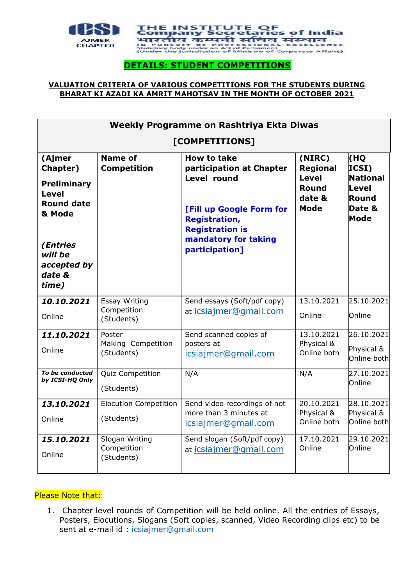

## **DETAILS: STUDENT COMPETITIONS**

#### **VALUATION CRITERIA OF VARIOUS COMPETITIONS FOR THE STUDENTS DURING BHARAT KI AZADI KA AMRIT MAHOTSAV IN THE MONTH OF OCTOBER 2021**

| Weekly Programme on Rashtriya Ekta Diwas<br>[COMPETITIONS]                                                                                       |                                             |                                                                                                                                                                                       |                                                                             |                                                                     |
|--------------------------------------------------------------------------------------------------------------------------------------------------|---------------------------------------------|---------------------------------------------------------------------------------------------------------------------------------------------------------------------------------------|-----------------------------------------------------------------------------|---------------------------------------------------------------------|
| (Ajmer<br>Chapter)<br><b>Preliminary</b><br><b>Level</b><br><b>Round date</b><br>& Mode<br>(Entries<br>will be<br>accepted by<br>date &<br>time) | <b>Name of</b><br><b>Competition</b>        | <b>How to take</b><br>participation at Chapter<br>Level round<br>[Fill up Google Form for<br><b>Registration,</b><br><b>Registration is</b><br>mandatory for taking<br>participation] | (NIRC)<br><b>Regional</b><br><b>Level</b><br>Round<br>date &<br><b>Mode</b> | (HQ<br>ICSI)<br><b>National</b><br>Level<br>Round<br>Date &<br>Mode |
| 10.10.2021<br>Online                                                                                                                             | Essay Writing<br>Competition<br>(Students)  | Send essays (Soft/pdf copy)<br>at icsiajmer@gmail.com                                                                                                                                 | 13.10.2021<br>Online                                                        | 25.10.2021<br>Online                                                |
| 11,10,2021<br>Online                                                                                                                             | Poster<br>Making Competition<br>(Students)  | Send scanned copies of<br>posters at<br>icsiajmer@gmail.com                                                                                                                           | 13.10.2021<br>Physical &<br>Online both                                     | 26.10.2021<br>Physical &<br>Online both                             |
| To be conducted<br>by ICSI-HQ Only                                                                                                               | Quiz Competition<br>(Students)              | N/A                                                                                                                                                                                   | N/A                                                                         | 27.10.2021<br>Online                                                |
| 13,10,2021<br>Online                                                                                                                             | <b>Elocution Competition</b><br>(Students)  | Send video recordings of not<br>more than 3 minutes at<br>icsiajmer@gmail.com                                                                                                         | 20.10.2021<br>Physical &<br>Online both                                     | 28.10.2021<br>Physical &<br>Online both                             |
| 15,10,2021<br>Online                                                                                                                             | Slogan Writing<br>Competition<br>(Students) | Send slogan (Soft/pdf copy)<br>at icsiajmer@gmail.com                                                                                                                                 | 17.10.2021<br>Online                                                        | 29.10.2021<br>Online                                                |

#### Please Note that:

1. Chapter level rounds of Competition will be held online. All the entries of Essays, Posters, Elocutions, Slogans (Soft copies, scanned, Video Recording clips etc) to be sent at e-mail id : [icsiajmer@gmail.com](mailto:icsiajmer@gmail.com)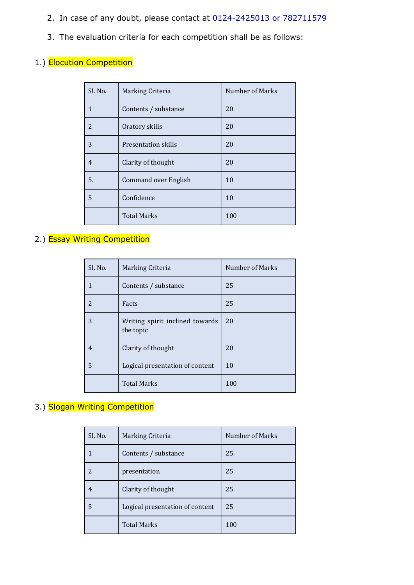- 2. In case of any doubt, please contact at 0124-2425013 or 782711579
- 3. The evaluation criteria for each competition shall be as follows:

## 1.) Elocution Competition

| Sl. No.        | Marking Criteria            | Number of Marks |
|----------------|-----------------------------|-----------------|
| $\mathbf{1}$   | Contents / substance        | 20              |
| $\overline{2}$ | Oratory skills              | 20              |
| 3              | <b>Presentation skills</b>  | 20              |
| $\overline{4}$ | Clarity of thought          | 20              |
| 5.             | <b>Command over English</b> | 10              |
| 5              | Confidence                  | 10              |
|                | <b>Total Marks</b>          | 100             |

## 2.) Essay Writing Competition

| Sl. No. | Marking Criteria                             | Number of Marks |
|---------|----------------------------------------------|-----------------|
|         | Contents / substance                         | 25              |
| 2       | Facts                                        | 25              |
| 3       | Writing spirit inclined towards<br>the topic | 20              |
| 4       | Clarity of thought                           | 20              |
| 5       | Logical presentation of content              | 10              |
|         | <b>Total Marks</b>                           | 100             |

## 3.) Slogan Writing Competition

| Sl. No. | Marking Criteria                | Number of Marks |
|---------|---------------------------------|-----------------|
|         | Contents / substance            | 25              |
| 2       | presentation                    | 25              |
|         | Clarity of thought              | 25              |
| 5       | Logical presentation of content | 25              |
|         | <b>Total Marks</b>              | 100             |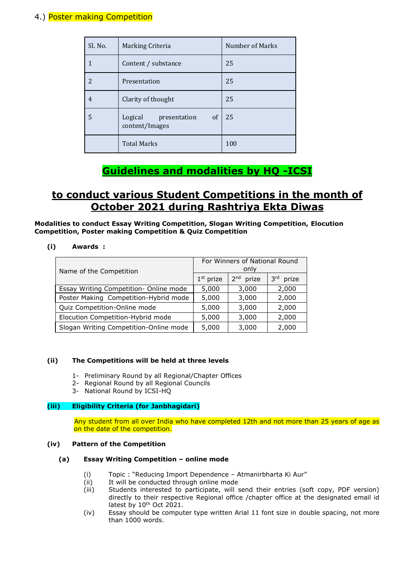### 4.) Poster making Competition

| Sl. No.                  | Marking Criteria                             | Number of Marks |
|--------------------------|----------------------------------------------|-----------------|
|                          | Content / substance                          | 25              |
| $\overline{\mathcal{L}}$ | Presentation                                 | 25              |
| 4                        | Clarity of thought                           | 25              |
| 5                        | Logical presentation<br>of<br>content/Images | -25             |
|                          | <b>Total Marks</b>                           | 100             |

# **Guidelines and modalities by HQ -ICSI**

# **to conduct various Student Competitions in the month of October 2021 during Rashtriya Ekta Diwas**

**Modalities to conduct Essay Writing Competition, Slogan Writing Competition, Elocution Competition, Poster making Competition & Quiz Competition**

#### **(i) Awards :**

| Name of the Competition                | For Winners of National Round<br>only |                       |                          |
|----------------------------------------|---------------------------------------|-----------------------|--------------------------|
|                                        | $1st$ prize                           | 2 <sup>nd</sup> prize | 3 <sup>rd</sup><br>prize |
| Essay Writing Competition- Online mode | 5,000                                 | 3,000                 | 2,000                    |
| Poster Making Competition-Hybrid mode  | 5,000                                 | 3,000                 | 2,000                    |
| Quiz Competition-Online mode           | 5,000                                 | 3,000                 | 2,000                    |
| Elocution Competition-Hybrid mode      | 5,000                                 | 3,000                 | 2,000                    |
| Slogan Writing Competition-Online mode | 5,000                                 | 3,000                 | 2,000                    |

#### **(ii) The Competitions will be held at three levels**

- 1- Preliminary Round by all Regional/Chapter Offices
- 2- Regional Round by all Regional Councils
- 3- National Round by ICSI-HQ

#### **(iii) Eligibility Criteria (for Janbhagidari)**

Any student from all over India who have completed 12th and not more than 25 years of age as on the date of the competition.

#### **(iv) Pattern of the Competition**

#### **(a) Essay Writing Competition – online mode**

- (i) Topic : "Reducing Import Dependence Atmanirbharta Ki Aur"
- (ii) It will be conducted through online mode
- (iii) Students interested to participate, will send their entries (soft copy, PDF version) directly to their respective Regional office /chapter office at the designated email id latest by 10<sup>th</sup> Oct 2021.
- (iv) Essay should be computer type written Arial 11 font size in double spacing, not more than 1000 words.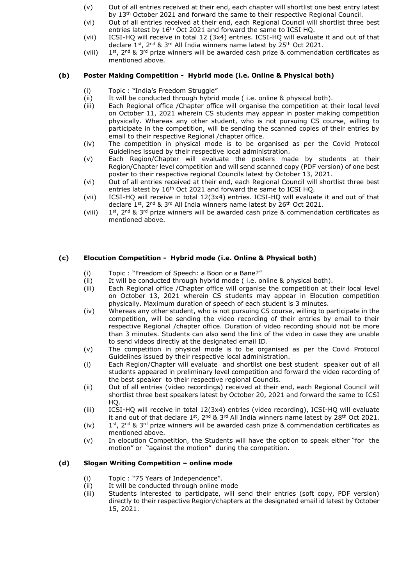- (v) Out of all entries received at their end, each chapter will shortlist one best entry latest by 13th October 2021 and forward the same to their respective Regional Council.
- (vi) Out of all entries received at their end, each Regional Council will shortlist three best entries latest by 16<sup>th</sup> Oct 2021 and forward the same to ICSI HQ.
- (vii) ICSI-HQ will receive in total 12 (3x4) entries. ICSI-HQ will evaluate it and out of that declare 1st, 2nd & 3rd All India winners name latest by 25<sup>th</sup> Oct 2021.
- (viii) 1  $1^{st}$ , 2<sup>nd</sup> & 3<sup>rd</sup> prize winners will be awarded cash prize & commendation certificates as mentioned above.

#### **(b) Poster Making Competition - Hybrid mode (i.e. Online & Physical both)**

- (i) Topic : "India's Freedom Struggle"
- (ii) It will be conducted through hybrid mode ( i.e. online & physical both).
- (iii) Each Regional office /Chapter office will organise the competition at their local level on October 11, 2021 wherein CS students may appear in poster making competition physically. Whereas any other student, who is not pursuing CS course, willing to participate in the competition, will be sending the scanned copies of their entries by email to their respective Regional /chapter office.
- (iv) The competition in physical mode is to be organised as per the Covid Protocol Guidelines issued by their respective local administration.
- (v) Each Region/Chapter will evaluate the posters made by students at their Region/Chapter level competition and will send scanned copy (PDF version) of one best poster to their respective regional Councils latest by October 13, 2021.
- (vi) Out of all entries received at their end, each Regional Council will shortlist three best entries latest by 16<sup>th</sup> Oct 2021 and forward the same to ICSI HQ.
- (vii) ICSI-HQ will receive in total 12(3x4) entries. ICSI-HQ will evaluate it and out of that declare  $1^{st}$ ,  $2^{nd}$  &  $3^{rd}$  All India winners name latest by  $26^{th}$  Oct 2021.
- (viii) 1  $1^{st}$ ,  $2^{nd}$  &  $3^{rd}$  prize winners will be awarded cash prize & commendation certificates as mentioned above.

#### **(c) Elocution Competition - Hybrid mode (i.e. Online & Physical both)**

- (i) Topic : "Freedom of Speech: a Boon or a Bane?"
- $(iii)$  It will be conducted through hybrid mode ( i.e. online & physical both).
- (iii) Each Regional office /Chapter office will organise the competition at their local level on October 13, 2021 wherein CS students may appear in Elocution competition physically. Maximum duration of speech of each student is 3 minutes.
- (iv) Whereas any other student, who is not pursuing CS course, willing to participate in the competition, will be sending the video recording of their entries by email to their respective Regional /chapter office. Duration of video recording should not be more than 3 minutes. Students can also send the link of the video in case they are unable to send videos directly at the designated email ID.
- (v) The competition in physical mode is to be organised as per the Covid Protocol Guidelines issued by their respective local administration.
- (i) Each Region/Chapter will evaluate and shortlist one best student speaker out of all students appeared in preliminary level competition and forward the video recording of the best speaker to their respective regional Councils.
- (ii) Out of all entries (video recordings) received at their end, each Regional Council will shortlist three best speakers latest by October 20, 2021 and forward the same to ICSI HQ.
- (iii) ICSI-HQ will receive in total 12(3x4) entries (video recording), ICSI-HQ will evaluate it and out of that declare  $1^{st}$ ,  $2^{nd}$  &  $3^{rd}$  All India winners name latest by 28<sup>th</sup> Oct 2021.
- $(iv)$  $1^{st}$ ,  $2^{nd}$  &  $3^{rd}$  prize winners will be awarded cash prize & commendation certificates as mentioned above.
- (v) In elocution Competition, the Students will have the option to speak either "for the motion" or "against the motion" during the competition.

#### **(d) Slogan Writing Competition – online mode**

- (i) Topic : "75 Years of Independence".
- (ii) It will be conducted through online mode
- (iii) Students interested to participate, will send their entries (soft copy, PDF version) directly to their respective Region/chapters at the designated email id latest by October 15, 2021.